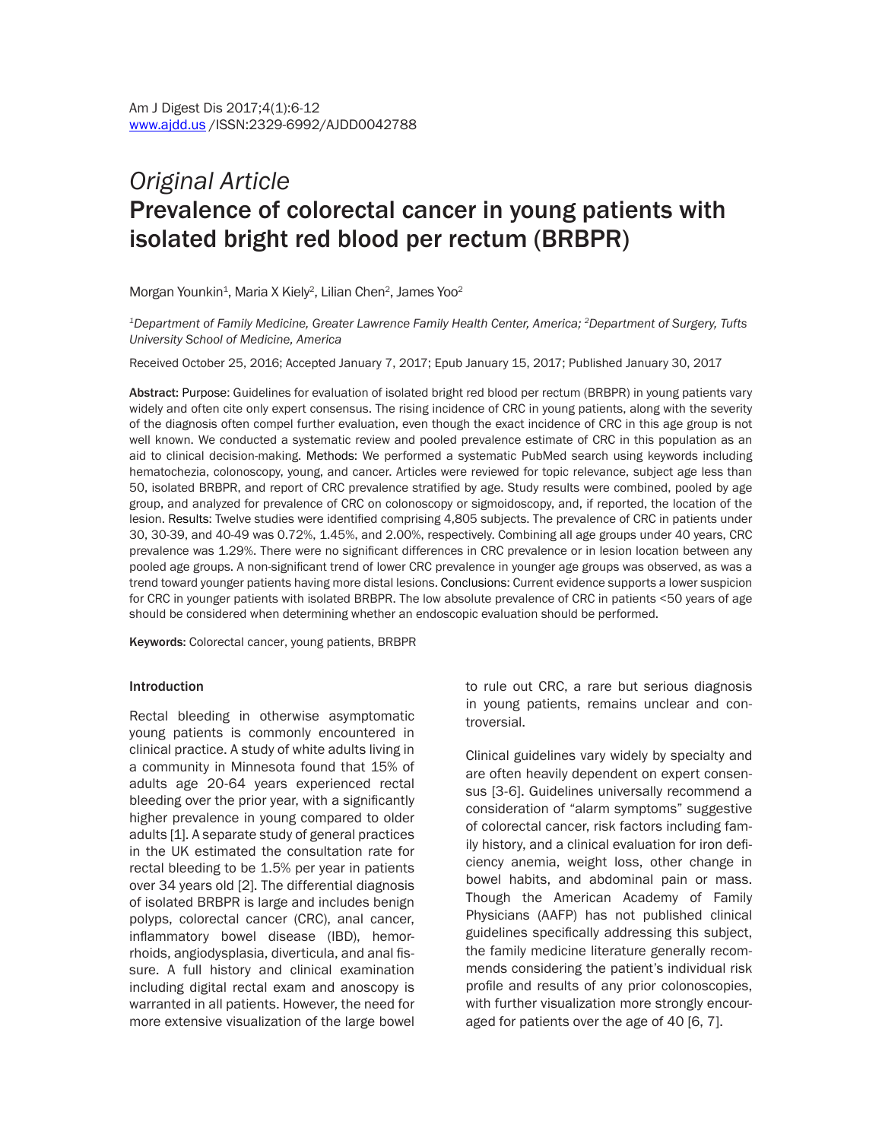# *Original Article* Prevalence of colorectal cancer in young patients with isolated bright red blood per rectum (BRBPR)

Morgan Younkin<sup>1</sup>, Maria X Kiely<sup>2</sup>, Lilian Chen<sup>2</sup>, James Yoo<sup>2</sup>

*1Department of Family Medicine, Greater Lawrence Family Health Center, America; 2Department of Surgery, Tufts University School of Medicine, America*

Received October 25, 2016; Accepted January 7, 2017; Epub January 15, 2017; Published January 30, 2017

Abstract: Purpose: Guidelines for evaluation of isolated bright red blood per rectum (BRBPR) in young patients vary widely and often cite only expert consensus. The rising incidence of CRC in young patients, along with the severity of the diagnosis often compel further evaluation, even though the exact incidence of CRC in this age group is not well known. We conducted a systematic review and pooled prevalence estimate of CRC in this population as an aid to clinical decision-making. Methods: We performed a systematic PubMed search using keywords including hematochezia, colonoscopy, young, and cancer. Articles were reviewed for topic relevance, subject age less than 50, isolated BRBPR, and report of CRC prevalence stratified by age. Study results were combined, pooled by age group, and analyzed for prevalence of CRC on colonoscopy or sigmoidoscopy, and, if reported, the location of the lesion. Results: Twelve studies were identified comprising 4,805 subjects. The prevalence of CRC in patients under 30, 30-39, and 40-49 was 0.72%, 1.45%, and 2.00%, respectively. Combining all age groups under 40 years, CRC prevalence was 1.29%. There were no significant differences in CRC prevalence or in lesion location between any pooled age groups. A non-significant trend of lower CRC prevalence in younger age groups was observed, as was a trend toward younger patients having more distal lesions. Conclusions: Current evidence supports a lower suspicion for CRC in younger patients with isolated BRBPR. The low absolute prevalence of CRC in patients <50 years of age should be considered when determining whether an endoscopic evaluation should be performed.

Keywords: Colorectal cancer, young patients, BRBPR

#### Introduction

Rectal bleeding in otherwise asymptomatic young patients is commonly encountered in clinical practice. A study of white adults living in a community in Minnesota found that 15% of adults age 20-64 years experienced rectal bleeding over the prior year, with a significantly higher prevalence in young compared to older adults [1]. A separate study of general practices in the UK estimated the consultation rate for rectal bleeding to be 1.5% per year in patients over 34 years old [2]. The differential diagnosis of isolated BRBPR is large and includes benign polyps, colorectal cancer (CRC), anal cancer, inflammatory bowel disease (IBD), hemorrhoids, angiodysplasia, diverticula, and anal fissure. A full history and clinical examination including digital rectal exam and anoscopy is warranted in all patients. However, the need for more extensive visualization of the large bowel

to rule out CRC, a rare but serious diagnosis in young patients, remains unclear and controversial.

Clinical guidelines vary widely by specialty and are often heavily dependent on expert consensus [3-6]. Guidelines universally recommend a consideration of "alarm symptoms" suggestive of colorectal cancer, risk factors including family history, and a clinical evaluation for iron deficiency anemia, weight loss, other change in bowel habits, and abdominal pain or mass. Though the American Academy of Family Physicians (AAFP) has not published clinical guidelines specifically addressing this subject, the family medicine literature generally recommends considering the patient's individual risk profile and results of any prior colonoscopies, with further visualization more strongly encouraged for patients over the age of 40 [6, 7].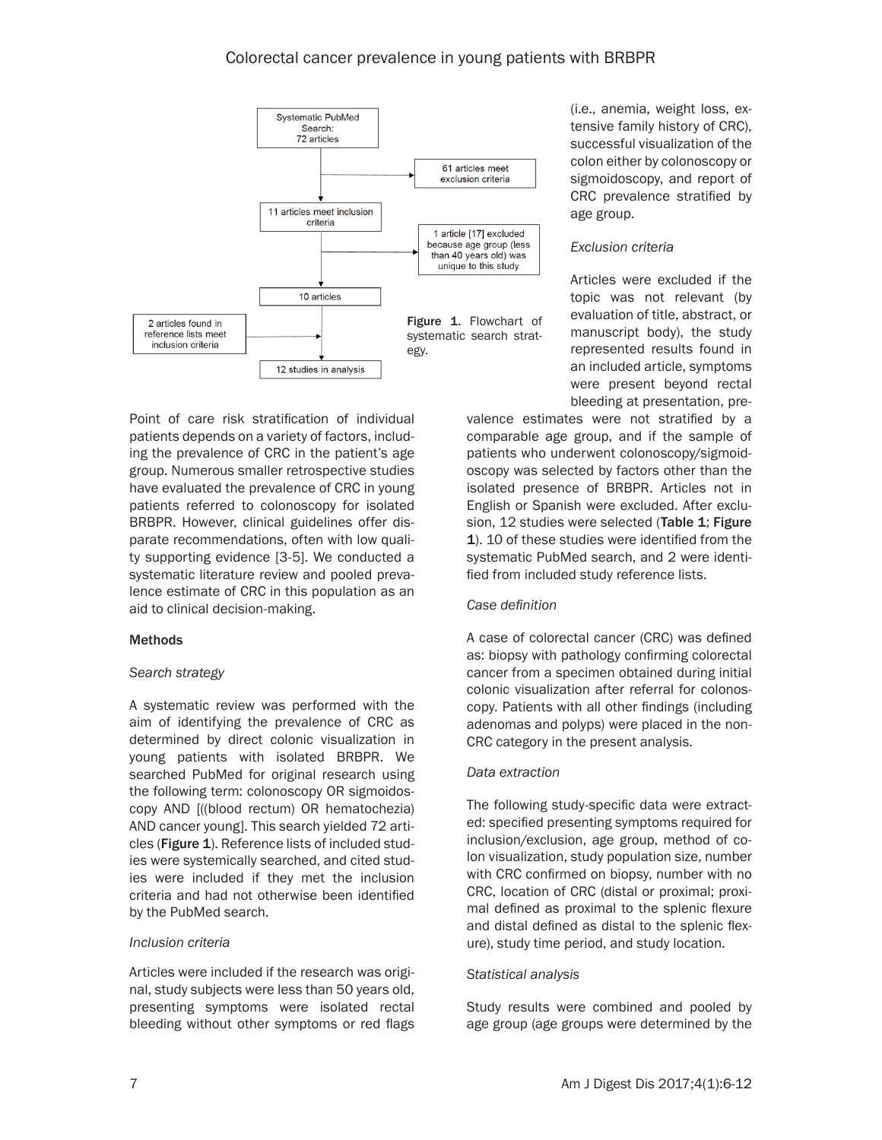

Point of care risk stratification of individual patients depends on a variety of factors, including the prevalence of CRC in the patient's age group. Numerous smaller retrospective studies have evaluated the prevalence of CRC in young patients referred to colonoscopy for isolated BRBPR. However, clinical guidelines offer disparate recommendations, often with low quality supporting evidence [3-5]. We conducted a systematic literature review and pooled prevalence estimate of CRC in this population as an aid to clinical decision-making.

# Methods

# *Search strategy*

A systematic review was performed with the aim of identifying the prevalence of CRC as determined by direct colonic visualization in young patients with isolated BRBPR. We searched PubMed for original research using the following term: colonoscopy OR sigmoidoscopy AND [((blood rectum) OR hematochezia) AND cancer young]. This search yielded 72 articles (Figure 1). Reference lists of included studies were systemically searched, and cited studies were included if they met the inclusion criteria and had not otherwise been identified by the PubMed search.

# *Inclusion criteria*

Articles were included if the research was original, study subjects were less than 50 years old, presenting symptoms were isolated rectal bleeding without other symptoms or red flags (i.e., anemia, weight loss, extensive family history of CRC), successful visualization of the colon either by colonoscopy or sigmoidoscopy, and report of CRC prevalence stratified by age group.

# *Exclusion criteria*

Articles were excluded if the topic was not relevant (by evaluation of title, abstract, or manuscript body), the study represented results found in an included article, symptoms were present beyond rectal bleeding at presentation, pre-

valence estimates were not stratified by a comparable age group, and if the sample of patients who underwent colonoscopy/sigmoidoscopy was selected by factors other than the isolated presence of BRBPR. Articles not in English or Spanish were excluded. After exclusion, 12 studies were selected (Table 1; Figure 1). 10 of these studies were identified from the systematic PubMed search, and 2 were identified from included study reference lists.

# *Case definition*

A case of colorectal cancer (CRC) was defined as: biopsy with pathology confirming colorectal cancer from a specimen obtained during initial colonic visualization after referral for colonoscopy. Patients with all other findings (including adenomas and polyps) were placed in the non-CRC category in the present analysis*.*

# *Data extraction*

The following study-specific data were extracted: specified presenting symptoms required for inclusion/exclusion, age group, method of colon visualization, study population size, number with CRC confirmed on biopsy, number with no CRC, location of CRC (distal or proximal; proximal defined as proximal to the splenic flexure and distal defined as distal to the splenic flexure), study time period, and study location.

# *Statistical analysis*

Study results were combined and pooled by age group (age groups were determined by the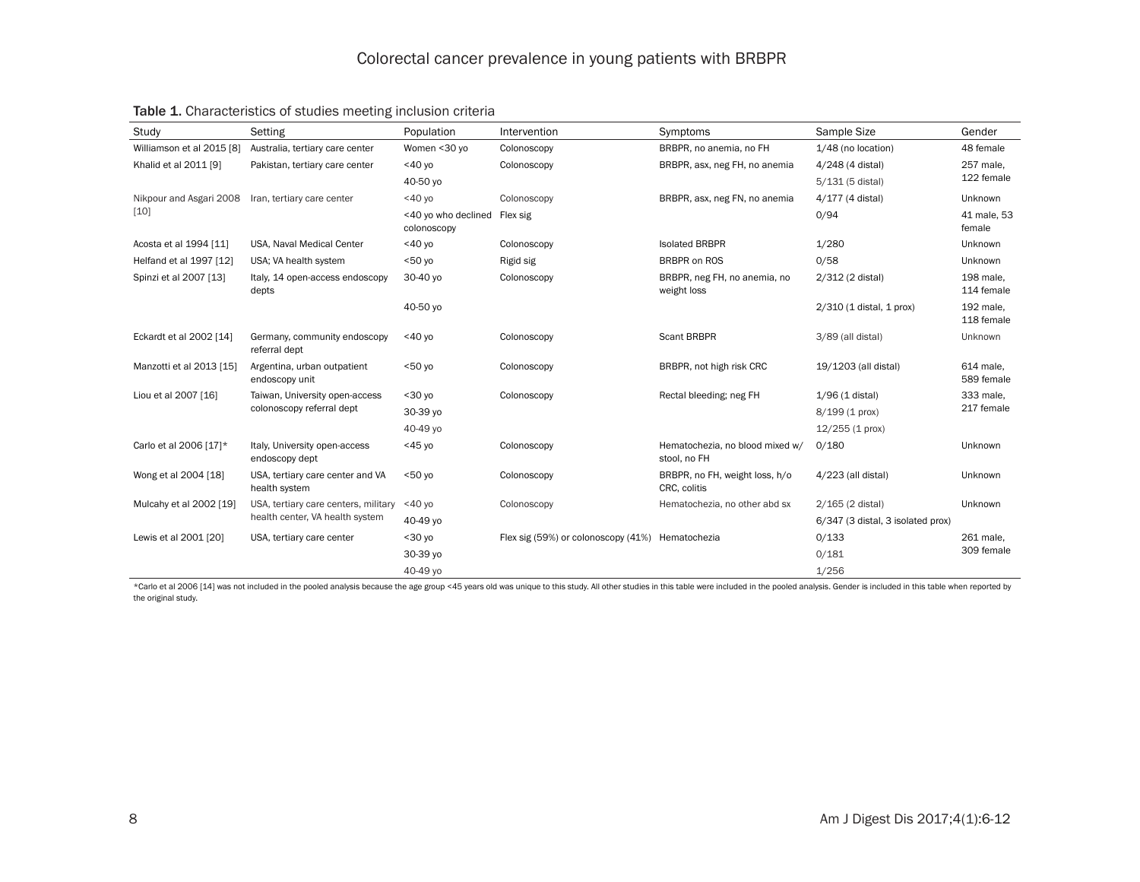| Study                           | Setting                                                                 | Population                         | Intervention                        | Symptoms                                        | Sample Size                       | Gender                  |
|---------------------------------|-------------------------------------------------------------------------|------------------------------------|-------------------------------------|-------------------------------------------------|-----------------------------------|-------------------------|
| Williamson et al 2015 [8]       | Australia, tertiary care center                                         | Women <30 yo                       | Colonoscopy                         | BRBPR, no anemia, no FH                         | 1/48 (no location)                | 48 female               |
| Khalid et al 2011 [9]           | Pakistan, tertiary care center                                          | $<$ 40 yo                          | Colonoscopy                         | BRBPR, asx, neg FH, no anemia                   | 4/248 (4 distal)                  | 257 male,<br>122 female |
|                                 |                                                                         | 40-50 yo                           |                                     |                                                 | 5/131 (5 distal)                  |                         |
| Nikpour and Asgari 2008<br>[10] | Iran, tertiary care center                                              | $<$ 40 yo                          | Colonoscopy                         | BRBPR, asx, neg FN, no anemia                   | 4/177 (4 distal)                  | Unknown                 |
|                                 |                                                                         | <40 yo who declined<br>colonoscopy | Flex sig                            |                                                 | 0/94                              | 41 male, 53<br>female   |
| Acosta et al 1994 [11]          | USA, Naval Medical Center                                               | $<$ 40 yo                          | Colonoscopy                         | <b>Isolated BRBPR</b>                           | 1/280                             | Unknown                 |
| Helfand et al 1997 [12]         | USA: VA health system                                                   | 50y                                | Rigid sig                           | <b>BRBPR on ROS</b>                             | 0/58                              | Unknown                 |
| Spinzi et al 2007 [13]          | Italy, 14 open-access endoscopy<br>depts                                | 30-40 yo                           | Colonoscopy                         | BRBPR, neg FH, no anemia, no<br>weight loss     | 2/312 (2 distal)                  | 198 male,<br>114 female |
|                                 |                                                                         | 40-50 yo                           |                                     |                                                 | 2/310 (1 distal, 1 prox)          | 192 male,<br>118 female |
| Eckardt et al 2002 [14]         | Germany, community endoscopy<br>referral dept                           | $<$ 40 yo                          | Colonoscopy                         | Scant BRBPR                                     | 3/89 (all distal)                 | Unknown                 |
| Manzotti et al 2013 [15]        | Argentina, urban outpatient<br>endoscopy unit                           | $< 50$ yo                          | Colonoscopy                         | BRBPR, not high risk CRC                        | 19/1203 (all distal)              | 614 male,<br>589 female |
| Liou et al 2007 [16]            | Taiwan, University open-access<br>colonoscopy referral dept             | $30$ yo                            | Colonoscopy                         | Rectal bleeding; neg FH                         | 1/96 (1 distal)                   | 333 male,<br>217 female |
|                                 |                                                                         | 30-39 yo                           |                                     |                                                 | 8/199 (1 prox)                    |                         |
|                                 |                                                                         | 40-49 yo                           |                                     |                                                 | $12/255$ (1 prox)                 |                         |
| Carlo et al 2006 [17]*          | Italy, University open-access<br>endoscopy dept                         | $<$ 45 yo                          | Colonoscopy                         | Hematochezia, no blood mixed w/<br>stool, no FH | 0/180                             | Unknown                 |
| Wong et al 2004 [18]            | USA, tertiary care center and VA<br>health system                       | $50$ yo                            | Colonoscopy                         | BRBPR, no FH, weight loss, h/o<br>CRC, colitis  | 4/223 (all distal)                | Unknown                 |
| Mulcahy et al 2002 [19]         | USA, tertiary care centers, military<br>health center, VA health system | $<$ 40 yo                          | Colonoscopy                         | Hematochezia, no other abd sx                   | 2/165 (2 distal)                  | Unknown                 |
|                                 |                                                                         | 40-49 yo                           |                                     |                                                 | 6/347 (3 distal, 3 isolated prox) |                         |
| Lewis et al 2001 [20]           | USA, tertiary care center                                               | $30$ yo                            | Flex sig (59%) or colonoscopy (41%) | Hematochezia                                    | 0/133                             | 261 male,<br>309 female |
|                                 |                                                                         | 30-39 yo                           |                                     |                                                 | 0/181                             |                         |
|                                 |                                                                         | 40-49 yo                           |                                     |                                                 | 1/256                             |                         |

# Table 1. Characteristics of studies meeting inclusion criteria

\*Carlo et al 2006 [14] was not included in the pooled analysis because the age group <45 years old was unique to this study. All other studies in this table were included in the pooled analysis. Gender is included in this the original study.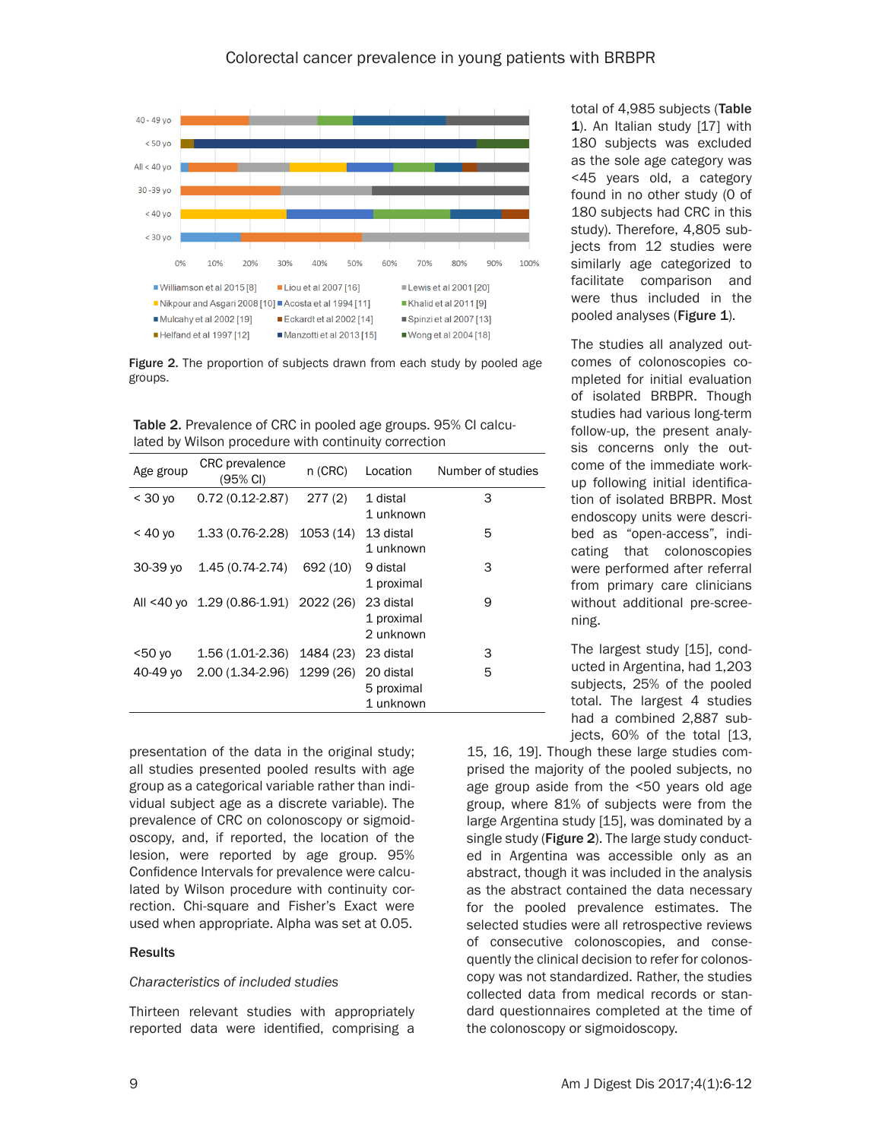

Figure 2. The proportion of subjects drawn from each study by pooled age groups.

Table 2. Prevalence of CRC in pooled age groups. 95% CI calculated by Wilson procedure with continuity correction

| Age group        | <b>CRC</b> prevalence<br>(95% CI)     | $n$ (CRC) | Location                             | Number of studies |
|------------------|---------------------------------------|-----------|--------------------------------------|-------------------|
| $<$ 30 yo        | $0.72(0.12-2.87)$                     | 277(2)    | 1 distal<br>1 unknown                | 3                 |
| $<$ 40 yo        | 1.33 (0.76-2.28)                      | 1053 (14) | 13 distal<br>1 unknown               | 5                 |
| 30-39 yo         | 1.45 (0.74-2.74)                      | 692 (10)  | 9 distal<br>1 proximal               | 3                 |
|                  | All <40 yo 1.29 (0.86-1.91) 2022 (26) |           | 23 distal<br>1 proximal<br>2 unknown | 9                 |
| 50 <sub>vo</sub> | 1.56 (1.01-2.36)                      | 1484 (23) | 23 distal                            | 3                 |
| 40-49 yo         | 2.00 (1.34-2.96)                      | 1299 (26) | 20 distal<br>5 proximal<br>1 unknown | 5                 |

presentation of the data in the original study; all studies presented pooled results with age group as a categorical variable rather than individual subject age as a discrete variable). The prevalence of CRC on colonoscopy or sigmoidoscopy, and, if reported, the location of the lesion, were reported by age group. 95% Confidence Intervals for prevalence were calculated by Wilson procedure with continuity correction. Chi-square and Fisher's Exact were used when appropriate. Alpha was set at 0.05.

### **Results**

### *Characteristics of included studies*

Thirteen relevant studies with appropriately reported data were identified, comprising a total of 4,985 subjects (Table 1). An Italian study [17] with 180 subjects was excluded as the sole age category was <45 years old, a category found in no other study (0 of 180 subjects had CRC in this study). Therefore, 4,805 subjects from 12 studies were similarly age categorized to facilitate comparison and were thus included in the pooled analyses (Figure 1).

The studies all analyzed outcomes of colonoscopies completed for initial evaluation of isolated BRBPR. Though studies had various long-term follow-up, the present analysis concerns only the outcome of the immediate workup following initial identification of isolated BRBPR. Most endoscopy units were described as "open-access", indicating that colonoscopies were performed after referral from primary care clinicians without additional pre-screening.

The largest study [15], conducted in Argentina, had 1,203 subjects, 25% of the pooled total. The largest 4 studies had a combined 2,887 subjects, 60% of the total [13,

15, 16, 19]. Though these large studies comprised the majority of the pooled subjects, no age group aside from the <50 years old age group, where 81% of subjects were from the large Argentina study [15], was dominated by a single study (Figure 2). The large study conducted in Argentina was accessible only as an abstract, though it was included in the analysis as the abstract contained the data necessary for the pooled prevalence estimates. The selected studies were all retrospective reviews of consecutive colonoscopies, and consequently the clinical decision to refer for colonoscopy was not standardized. Rather, the studies collected data from medical records or standard questionnaires completed at the time of the colonoscopy or sigmoidoscopy.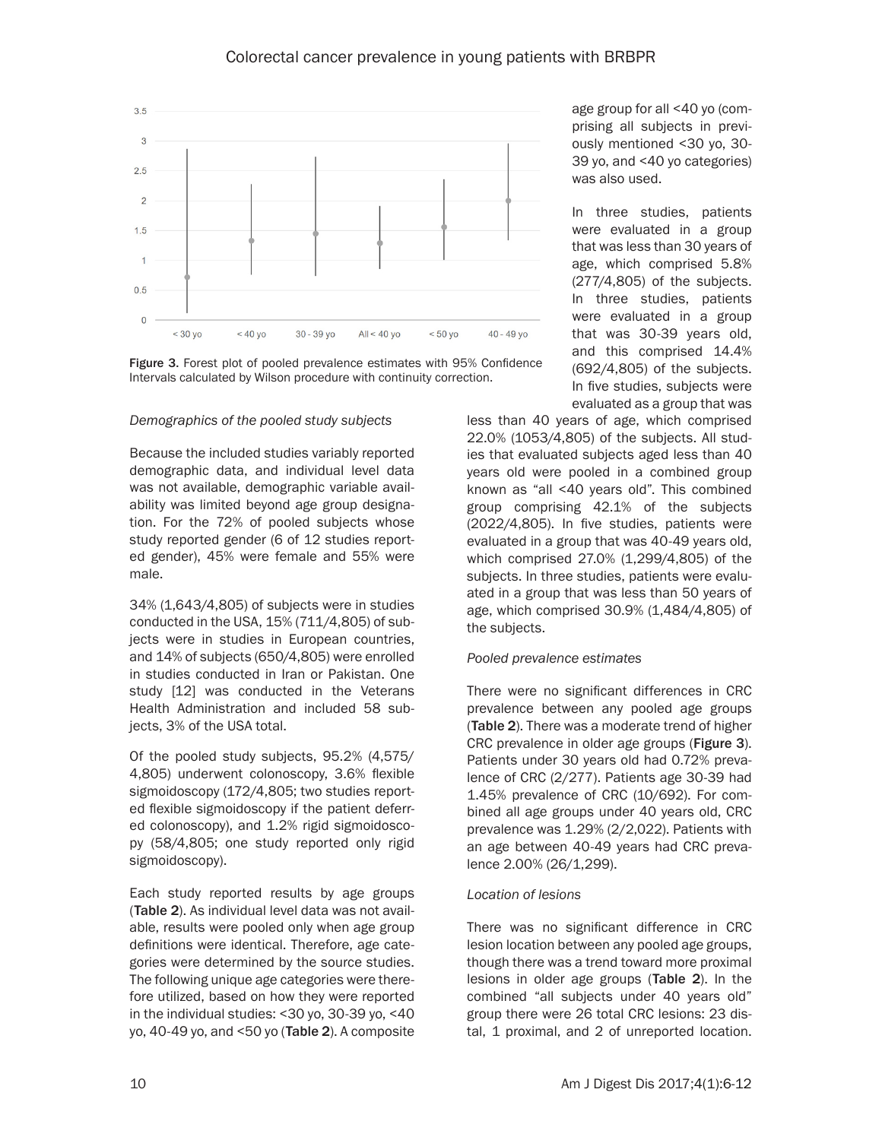



# *Demographics of the pooled study subjects*

Because the included studies variably reported demographic data, and individual level data was not available, demographic variable availability was limited beyond age group designation. For the 72% of pooled subjects whose study reported gender (6 of 12 studies reported gender), 45% were female and 55% were male.

34% (1,643/4,805) of subjects were in studies conducted in the USA, 15% (711/4,805) of subjects were in studies in European countries, and 14% of subjects (650/4,805) were enrolled in studies conducted in Iran or Pakistan. One study [12] was conducted in the Veterans Health Administration and included 58 subjects, 3% of the USA total.

Of the pooled study subjects, 95.2% (4,575/ 4,805) underwent colonoscopy, 3.6% flexible sigmoidoscopy (172/4,805; two studies reported flexible sigmoidoscopy if the patient deferred colonoscopy), and 1.2% rigid sigmoidoscopy (58/4,805; one study reported only rigid sigmoidoscopy).

Each study reported results by age groups (Table 2). As individual level data was not available, results were pooled only when age group definitions were identical. Therefore, age categories were determined by the source studies. The following unique age categories were therefore utilized, based on how they were reported in the individual studies: <30 yo, 30-39 yo, <40 yo,  $40-49$  yo, and  $50$  yo (Table 2). A composite age group for all <40 yo (comprising all subjects in previously mentioned <30 yo, 30- 39 yo, and <40 yo categories) was also used.

In three studies, patients were evaluated in a group that was less than 30 years of age, which comprised 5.8% (277/4,805) of the subjects. In three studies, patients were evaluated in a group that was 30-39 years old, and this comprised 14.4% (692/4,805) of the subjects. In five studies, subjects were evaluated as a group that was

less than 40 years of age, which comprised 22.0% (1053/4,805) of the subjects. All studies that evaluated subjects aged less than 40 years old were pooled in a combined group known as "all <40 years old". This combined group comprising 42.1% of the subjects (2022/4,805). In five studies, patients were evaluated in a group that was 40-49 years old, which comprised 27.0% (1,299/4,805) of the subjects. In three studies, patients were evaluated in a group that was less than 50 years of age, which comprised 30.9% (1,484/4,805) of the subjects.

# *Pooled prevalence estimates*

There were no significant differences in CRC prevalence between any pooled age groups (Table 2). There was a moderate trend of higher CRC prevalence in older age groups (Figure 3). Patients under 30 years old had 0.72% prevalence of CRC (2/277). Patients age 30-39 had 1.45% prevalence of CRC (10/692). For combined all age groups under 40 years old, CRC prevalence was 1.29% (2/2,022). Patients with an age between 40-49 years had CRC prevalence 2.00% (26/1,299).

# *Location of lesions*

There was no significant difference in CRC lesion location between any pooled age groups, though there was a trend toward more proximal lesions in older age groups (Table 2). In the combined "all subjects under 40 years old" group there were 26 total CRC lesions: 23 distal, 1 proximal, and 2 of unreported location.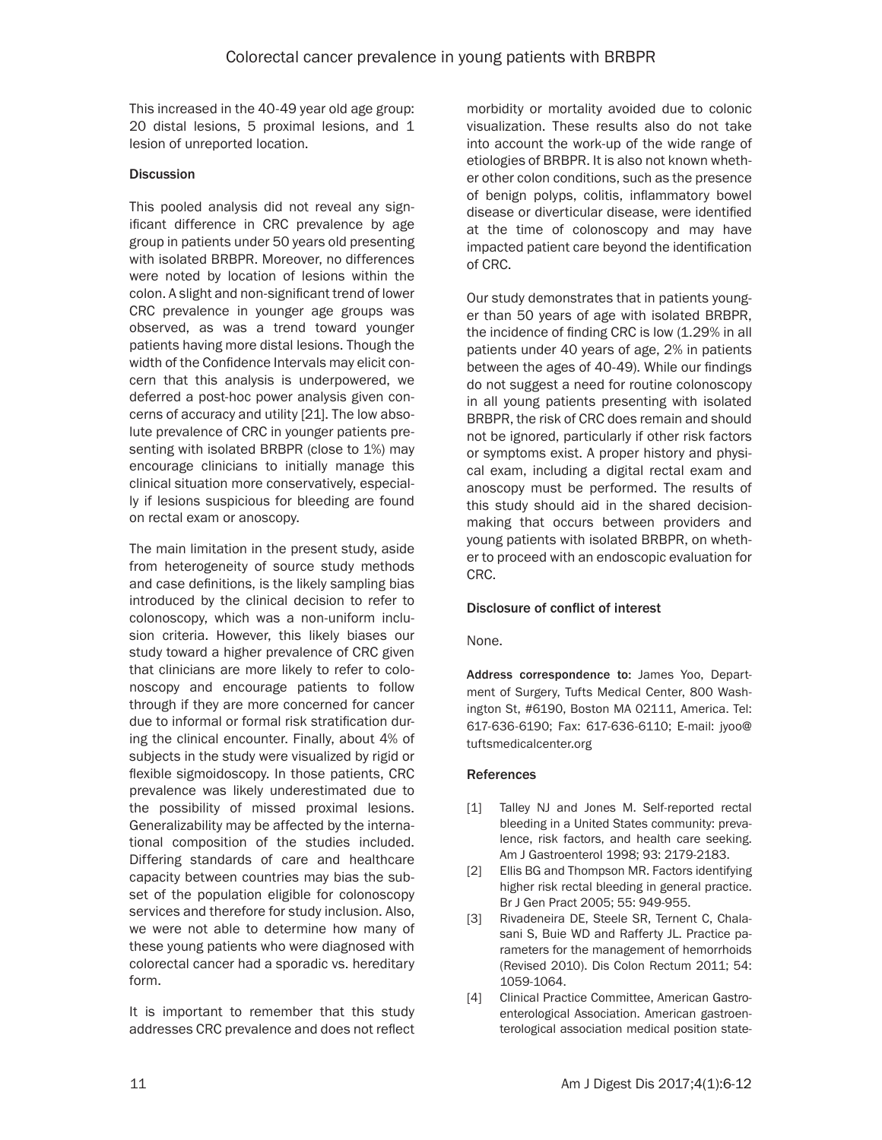This increased in the 40-49 year old age group: 20 distal lesions, 5 proximal lesions, and 1 lesion of unreported location.

# **Discussion**

This pooled analysis did not reveal any significant difference in CRC prevalence by age group in patients under 50 years old presenting with isolated BRBPR. Moreover, no differences were noted by location of lesions within the colon. A slight and non-significant trend of lower CRC prevalence in younger age groups was observed, as was a trend toward younger patients having more distal lesions. Though the width of the Confidence Intervals may elicit concern that this analysis is underpowered, we deferred a post-hoc power analysis given concerns of accuracy and utility [21]. The low absolute prevalence of CRC in younger patients presenting with isolated BRBPR (close to 1%) may encourage clinicians to initially manage this clinical situation more conservatively, especially if lesions suspicious for bleeding are found on rectal exam or anoscopy.

The main limitation in the present study, aside from heterogeneity of source study methods and case definitions, is the likely sampling bias introduced by the clinical decision to refer to colonoscopy, which was a non-uniform inclusion criteria. However, this likely biases our study toward a higher prevalence of CRC given that clinicians are more likely to refer to colonoscopy and encourage patients to follow through if they are more concerned for cancer due to informal or formal risk stratification during the clinical encounter. Finally, about 4% of subjects in the study were visualized by rigid or flexible sigmoidoscopy. In those patients, CRC prevalence was likely underestimated due to the possibility of missed proximal lesions. Generalizability may be affected by the international composition of the studies included. Differing standards of care and healthcare capacity between countries may bias the subset of the population eligible for colonoscopy services and therefore for study inclusion. Also, we were not able to determine how many of these young patients who were diagnosed with colorectal cancer had a sporadic vs. hereditary form.

It is important to remember that this study addresses CRC prevalence and does not reflect morbidity or mortality avoided due to colonic visualization. These results also do not take into account the work-up of the wide range of etiologies of BRBPR. It is also not known whether other colon conditions, such as the presence of benign polyps, colitis, inflammatory bowel disease or diverticular disease, were identified at the time of colonoscopy and may have impacted patient care beyond the identification of CRC.

Our study demonstrates that in patients younger than 50 years of age with isolated BRBPR, the incidence of finding CRC is low (1.29% in all patients under 40 years of age, 2% in patients between the ages of 40-49). While our findings do not suggest a need for routine colonoscopy in all young patients presenting with isolated BRBPR, the risk of CRC does remain and should not be ignored, particularly if other risk factors or symptoms exist. A proper history and physical exam, including a digital rectal exam and anoscopy must be performed. The results of this study should aid in the shared decisionmaking that occurs between providers and young patients with isolated BRBPR, on whether to proceed with an endoscopic evaluation for CRC.

# Disclosure of conflict of interest

None.

Address correspondence to: James Yoo, Department of Surgery, Tufts Medical Center, 800 Washington St, #6190, Boston MA 02111, America. Tel: 617-636-6190; Fax: 617-636-6110; E-mail: [jyoo@](mailto:jyoo@tuftsmedicalcenter.org) [tuftsmedicalcenter.org](mailto:jyoo@tuftsmedicalcenter.org)

# References

- [1] Talley NJ and Jones M. Self-reported rectal bleeding in a United States community: prevalence, risk factors, and health care seeking. Am J Gastroenterol 1998; 93: 2179-2183.
- [2] Ellis BG and Thompson MR. Factors identifying higher risk rectal bleeding in general practice. Br J Gen Pract 2005; 55: 949-955.
- [3] Rivadeneira DE, Steele SR, Ternent C, Chalasani S, Buie WD and Rafferty JL. Practice parameters for the management of hemorrhoids (Revised 2010). Dis Colon Rectum 2011; 54: 1059-1064.
- [4] Clinical Practice Committee, American Gastroenterological Association. American gastroenterological association medical position state-